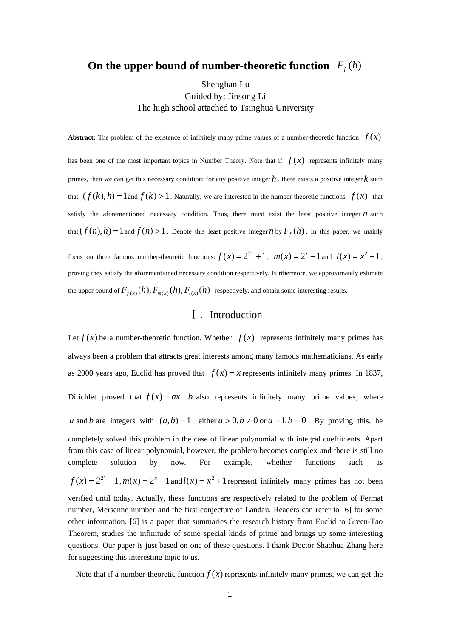# **On the upper bound of number-theoretic function**  $F_f(h)$

### Shenghan Lu Guided by: Jinsong Li The high school attached to Tsinghua University

**Abstract:** The problem of the existence of infinitely many prime values of a number-theoretic function  $f(x)$ 

has been one of the most important topics in Number Theory. Note that if  $f(x)$  represents infinitely many primes, then we can get this necessary condition: for any positive integer  $h$ , there exists a positive integer  $k$  such that  $(f(k), h) = 1$  and  $f(k) > 1$ . Naturally, we are interested in the number-theoretic functions  $f(x)$  that satisfy the aforementioned necessary condition. Thus, there must exist the least positive integer  $n$  such that  $(f(n), h) = 1$  and  $f(n) > 1$ . Denote this least positive integer *n* by  $F_f(h)$ . In this paper, we mainly

focus on three famous number-theoretic functions:  $f(x) = 2^{2^x} + 1$ ,  $m(x) = 2^x - 1$  and  $l(x) = x^2 + 1$ , proving they satisfy the aforementioned necessary condition respectively. Furthermore, we approximately estimate the upper bound of  $F_{f(x)}(h)$ ,  $F_{m(x)}(h)$ ,  $F_{l(x)}(h)$  respectively, and obtain some interesting results.

## Ⅰ.Introduction

Let  $f(x)$  be a number-theoretic function. Whether  $f(x)$  represents infinitely many primes has always been a problem that attracts great interests among many famous mathematicians. As early as 2000 years ago, Euclid has proved that  $f(x) = x$  represents infinitely many primes. In 1837, Dirichlet proved that  $f(x) = ax + b$  also represents infinitely many prime values, where *a* and *b* are integers with  $(a,b) = 1$ , either  $a > 0, b \ne 0$  or  $a = 1, b = 0$ . By proving this, he completely solved this problem in the case of linear polynomial with integral coefficients. Apart from this case of linear polynomial, however, the problem becomes complex and there is still no complete solution by now. For example, whether functions such as  $f(x) = 2^{2^x} + 1$ ,  $m(x) = 2^x - 1$  and  $l(x) = x^2 + 1$  represent infinitely many primes has not been verified until today. Actually, these functions are respectively related to the problem of Fermat number, Mersenne number and the first conjecture of Landau. Readers can refer to [6] for some other information. [6] is a paper that summaries the research history from Euclid to Green-Tao Theorem, studies the infinitude of some special kinds of prime and brings up some interesting questions. Our paper is just based on one of these questions. I thank Doctor Shaohua Zhang here for suggesting this interesting topic to us.

Note that if a number-theoretic function  $f(x)$  represents infinitely many primes, we can get the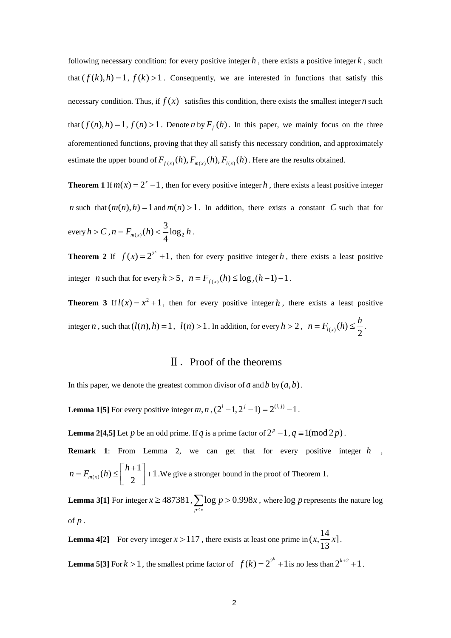following necessary condition: for every positive integer  $h$ , there exists a positive integer  $k$ , such that  $(f(k), h) = 1$ ,  $f(k) > 1$ . Consequently, we are interested in functions that satisfy this necessary condition. Thus, if  $f(x)$  satisfies this condition, there exists the smallest integer *n* such that  $(f(n), h) = 1$ ,  $f(n) > 1$ . Denote *n* by  $F_f(h)$ . In this paper, we mainly focus on the three aforementioned functions, proving that they all satisfy this necessary condition, and approximately estimate the upper bound of  $F_{f(x)}(h)$ ,  $F_{m(x)}(h)$ ,  $F_{l(x)}(h)$ . Here are the results obtained.

**Theorem 1** If  $m(x) = 2^x - 1$ , then for every positive integer h, there exists a least positive integer *n* such that  $(m(n), h) = 1$  and  $m(n) > 1$ . In addition, there exists a constant C such that for every  $h > C$ ,  $n = F_{m(x)}(h) < \frac{3}{4} \log_2 h$ .

**Theorem 2** If  $f(x) = 2^{2^x} + 1$ , then for every positive integer h, there exists a least positive integer *n* such that for every  $h > 5$ ,  $n = F_{f(x)}(h) \le \log_2(h-1) - 1$ .

**Theorem 3** If  $l(x) = x^2 + 1$ , then for every positive integer h, there exists a least positive integer *n*, such that  $(l(n), h) = 1$ ,  $l(n) > 1$ . In addition, for every  $h > 2$ ,  $n = F_{l(x)}(h) \leq \frac{h}{2}$ .

#### Ⅱ.Proof of the theorems

In this paper, we denote the greatest common divisor of  $a$  and  $b$  by  $(a,b)$ .

**Lemma 1[5]** For every positive integer *m*, *n*,  $(2^{i} - 1, 2^{j} - 1) = 2^{(i,j)} - 1$ .

**Lemma 2[4,5]** Let *p* be an odd prime. If *q* is a prime factor of  $2^p - 1$ ,  $q \equiv 1 \pmod{2p}$ .

**Remark 1**: From Lemma 2, we can get that for every positive integer h,  $n = F_{m(x)}(h) \leq \left[\frac{h+1}{2}\right] + 1$ . We give a stronger bound in the proof of Theorem 1.

**Lemma 3[1]** For integer  $x \ge 487381$ ,  $\sum \log p > 0.998x$  $\sum_{p \leq x} \log p > 0.998x$ , where  $\log p$  represents the nature  $\log p$ of *p* .

**mma 4[2]** For every integer  $x > 117$ , there exists at least one prime in **Lemma 4[2]** For every integer  $x > 117$ , there exists at least one prime in  $\left(x, \frac{14}{13}x\right]$ .

**Lemma 5[3]** For  $k > 1$ , the smallest prime factor of  $f(k) = 2^{2^k} + 1$  is no less than  $2^{k+2} + 1$ .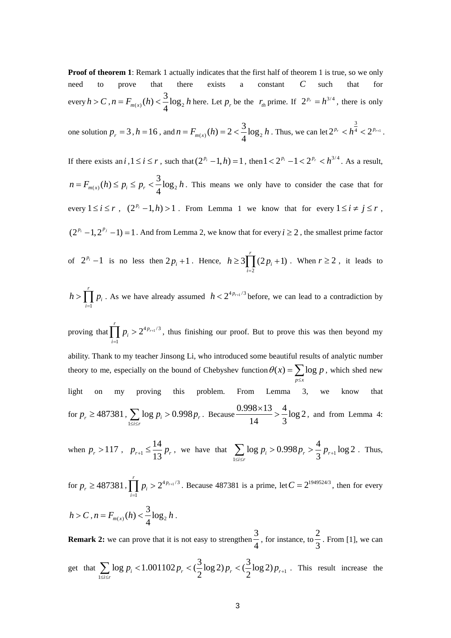**Proof of theorem 1**: Remark 1 actually indicates that the first half of theorem 1 is true, so we only need to prove that there exists a constant *C* such that for every  $h > C$ ,  $n = F_{m(x)}(h) < \frac{3}{4} \log_2 h$  here. Let  $p_r$  be the  $r_{th}$  prime. If  $2^{p_r} = h^{3/4}$ , there is only

one solution  $p_r = 3$ ,  $h = 16$ , and  $n = F_{m(x)}(h) = 2 < \frac{3}{4} \log_2 h$ . Thus, we can let  $2^{p_r} < h^{\frac{3}{4}} < 2^{p_{r+1}}$  $2^{p_r} < h^4 < 2^{p_{r+1}}$ .

If there exists an *i*,  $1 \le i \le r$ , such that  $(2^{p_i} - 1, h) = 1$ , then  $1 < 2^{p_i} - 1 < 2^{p_r} < h^{3/4}$ . As a result,  $n = F_{m(x)}(h) \le p_i \le p_r < \frac{3}{4} \log_2 h$ . This means we only have to consider the case that for every  $1 \le i \le r$ ,  $(2^{p_i} - 1, h) > 1$ . From Lemma 1 we know that for every  $1 \le i \ne j \le r$ ,  $(2^{p_i} - 1, 2^{p_j} - 1) = 1$ . And from Lemma 2, we know that for every  $i \ge 2$ , the smallest prime factor

1 is no less then  $2p_i + 1$ . Hence,  $h \ge 3\prod (2p_i + 1)$ *i*= of  $2^{p_i}-1$  is no less then  $2p_i+1$ . Hence,  $h \ge 3$   $(2p_i+1)$ . When  $r \ge 2$ , it leads to  $P_i$  -1 is no less then  $2p_i + 1$ . Hence,  $h \ge 3 \prod_{i=1}^{r} (2p_i + 1)$ . When  $r \ge 2$ , it leads to 2

$$
h > \prod_{i=1}^r p_i
$$
. As we have already assumed  $h < 2^{4p_{r+1}/3}$  before, we can lead to a contradiction by

proving that  $\prod_{i=1}^{r} p_i > 2^{4p_i}$  $\prod_{i=1} P_i > 2^{4p_{r+1}/3}$ , thus finishing our proof. But to prove this was then beyond my ability. Thank to my teacher Jinsong Li, who introduced some beautiful results of analytic number theory to me, especially on the bound of Chebyshev function *p*≤*x* t  $\prod p_i > 2^{4p_{r+1}/3}$  $\theta(x) = \sum \log p$  $\sum_{p \leq x} \log p$ , which shed new light on my proving this problem. From Lemma 3, we know that for  $p_r \ge 487381$ , 1  $\log p_i > 0.998 p_r$ *i*≤*r*  $p_i > 0.998 p$  $\sum_{1 \leq i \leq r} \log p_i > 0.998 p_r$ . Because  $\frac{0.998 \times 13}{14} > \frac{4}{3} \log 2$  $\frac{\times 13}{2}$  >  $\frac{4}{2}$ log 2, and from Lemma 4:

when  $p_r > 117$ ,  $p_{r+1} \le \frac{14}{13} p_r$ , we have that  $\sum_{1 \le i \le r} \log p_i > 0.998 p_r > \frac{4}{3} p_{r+1}$  $\sum_{1 \leq i \leq r} \log p_i > 0.998 p_r > \frac{4}{3} p_{r+1} \log 2$ . Thus,

for 
$$
p_r \ge 487381
$$
,  $\prod_{i=1}^r p_i > 2^{4p_{r+1}/3}$ . Because 487381 is a prime, let  $C = 2^{1949524/3}$ , then for every  $h > C$ ,  $n = F_{m(x)}(h) < \frac{3}{4} \log_2 h$ .

**Remark 2:** we can prove that it is not easy to strengthen  $\frac{3}{2}$ , for instance, to  $\frac{2}{3}$  $\frac{3}{4}$ , for instance, to  $\frac{3}{3}$ . From [1], we can

get that 
$$
\sum_{1 \leq i \leq r} \log p_i < 1.001102 \, p_r < \left(\frac{3}{2} \log 2\right) p_r < \left(\frac{3}{2} \log 2\right) p_{r+1}
$$
. This result increase the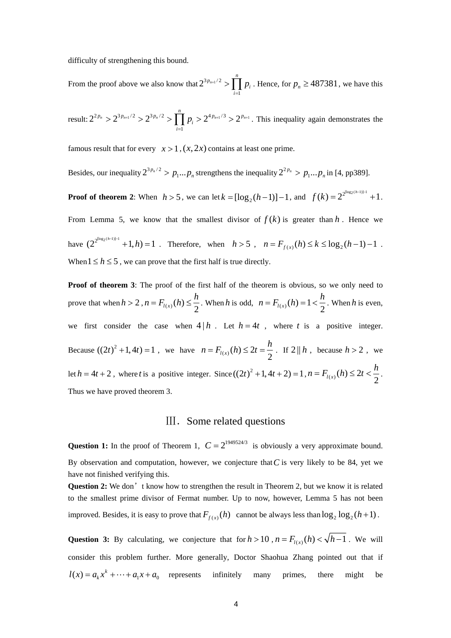difficulty of strengthening this bound.

From the proof above we also know that  $2^{3p_{n+1}/2}$  >  $\prod p_i$ *i*  $2^{3p_{n+1}/2}$ 1  $2^{3 p_n}$ *n*  $p^{+1/2}$  >  $\prod p$  $\sum_{i=1} P_i$ . Hence, for  $p_n \ge 487381$ , we have this

result:  $2^{2p_n} > 2^{3p_{n+1}/2} > 2^{3p_n/2} > \prod_{i=1}^n p_i > 2^{4p_{n+1}/3} > 2^{p_{n+1}}$ . This inequality again demonstrates the *i*=1

famous result that for every  $x > 1$ ,  $(x, 2x)$  contains at least one prime.

Besides, our inequality  $2^{3p_n/2} > p_1...p_n$  strengthens the inequality  $2^{2p_n} > p_1...p_n$  in [4, pp389].

**Proof of theorem 2:** When  $h > 5$ , we can let  $k = [\log_2(h-1)]-1$ , and  $f(k) = 2^{2^{\log_2(h-1)}-1} + 1$ .

From Lemma 5, we know that the smallest divisor of  $f(k)$  is greater than h. Hence we have  $(2^{2^{\lfloor \log_2(h-1) \rfloor - 1}} + 1, h) = 1$ . Therefore, when  $h > 5$ ,  $n = F_{f(x)}(h) \le k \le \log_2(h-1) - 1$ . When  $1 \le h \le 5$ , we can prove that the first half is true directly.

**Proof of theorem 3**: The proof of the first half of the theorem is obvious, so we only need to prove that when  $h > 2$ ,  $n = F_{l(x)}(h) \leq \frac{h}{2}$ . When h is odd,  $n = F_{l(x)}(h) = 1 < \frac{h}{2}$ . When h is even, we first consider the case when  $4 | h$ . Let  $h = 4t$ , where t is a positive integer. Because  $((2t)^2 + 1, 4t) = 1$ , we have  $n = F_{l(x)}(h) \le 2t = \frac{h}{2}$ . If  $2 || h$ , because  $h > 2$ , we let  $h = 4t + 2$ , where *t* is a positive integer. Since  $((2t)^2 + 1, 4t + 2) = 1$ ,  $n = F_{l(x)}(h) \le 2t < \frac{h}{2}$ . Thus we have proved theorem 3.

#### III. Some related questions

have not finished verifying this. **Question 1:** In the proof of Theorem 1,  $C = 2^{1949524/3}$  is obviously a very approximate bound. By observation and computation, however, we conjecture that  $C$  is very likely to be 84, yet we

to the smallest prime divisor of Fermat number. Up to now, however, Lemma 5 has not been **Question 2:** We don't know how to strengthen the result in Theorem 2, but we know it is related improved. Besides, it is easy to prove that  $F_{f(x)}(h)$  cannot be always less than  $\log_2 \log_2 (h+1)$ .

Question 3: By calculating, we conjecture that for  $h > 10$ ,  $n = F_{l(x)}(h) < \sqrt{h-1}$ . We will consider this problem further. More generally, Doctor Shaohua Zhang pointed out that if  $k(x) = a_k x^k + \dots + a_1 x + a_0$  represents infinitely many primes, there might be